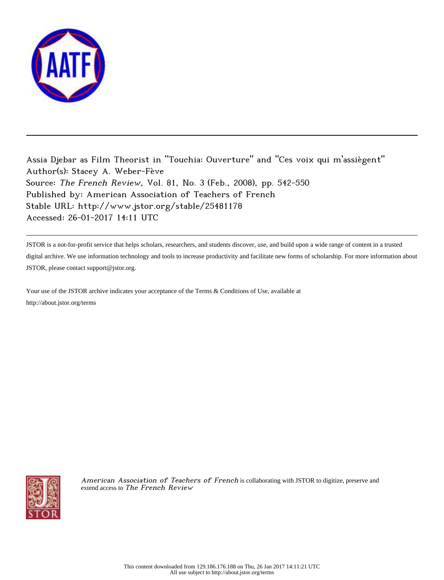

Assia Djebar as Film Theorist in "Touchia: Ouverture" and "Ces voix qui m'assiègent" Author(s): Stacey A. Weber-Fève Source: The French Review, Vol. 81, No. 3 (Feb., 2008), pp. 542-550 Published by: American Association of Teachers of French Stable URL: http://www.jstor.org/stable/25481178 Accessed: 26-01-2017 14:11 UTC

JSTOR is a not-for-profit service that helps scholars, researchers, and students discover, use, and build upon a wide range of content in a trusted digital archive. We use information technology and tools to increase productivity and facilitate new forms of scholarship. For more information about JSTOR, please contact support@jstor.org.

Your use of the JSTOR archive indicates your acceptance of the Terms & Conditions of Use, available at http://about.jstor.org/terms



American Association of Teachers of French is collaborating with JSTOR to digitize, preserve and extend access to The French Review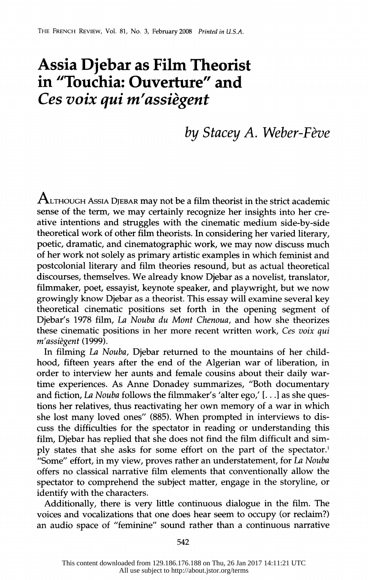## **Assia Djebar as Film Theorist in "Touchia: Ouverture" and**  *Ces voix qui m' assiegent*

## *by Stacey A. Weber-Feve*

 $\rm A$ LTHOUGH ASSIA DJEBAR may not be a film theorist in the strict academic sense of the term, we may certainly recognize her insights into her creative intentions and struggles with the cinematic medium side-by-side theoretical work of other film theorists. In considering her varied literary, poetic, dramatic, and cinematographic work, we may now discuss much of her work not solely as primary artistic examples in which feminist and postcolonial literary and film theories resound, but as actual theoretical discourses, themselves. We already know Djebar as a novelist, translator, filmmaker, poet, essayist, keynote speaker, and playwright, but we now growingly know Djebar as a theorist. This essay will examine several key theoretical cinematic positions set forth in the opening segment of Djebar's 1978 film, *La Nouba du Mont Chenoua,* and how she theorizes these cinematic positions in her more recent written work, *Ces voix qui m'assiegent* (1999).

In filming *La Nouba,* Djebar returned to the mountains of her childhood, fifteen years after the end of the Algerian war of liberation, in order to interview her aunts and female cousins about their daily wartime experiences. As Anne Donadey summarizes, "Both documentary and fiction, *La Nouba* follows the filmmaker's 'alter ego,' [ ... ] as she questions her relatives, thus reactivating her own memory of a war in which she lost many loved ones" (885). When prompted in interviews to discuss the difficulties for the spectator in reading or understanding this film, Djebar has replied that she does not find the film difficult and simply states that she asks for some effort on the part of the spectator.<sup>1</sup> "Some" effort, in my view, proves rather an understatement, for La *Nouba*  offers no classical narrative film elements that conventionally allow the spectator to comprehend the subject matter, engage in the storyline, or identify with the characters.

Additionally, there is very little continuous dialogue in the film. The voices and vocalizations that one does hear seem to occupy (or reclaim?) an audio space of "feminine" sound rather than a continuous narrative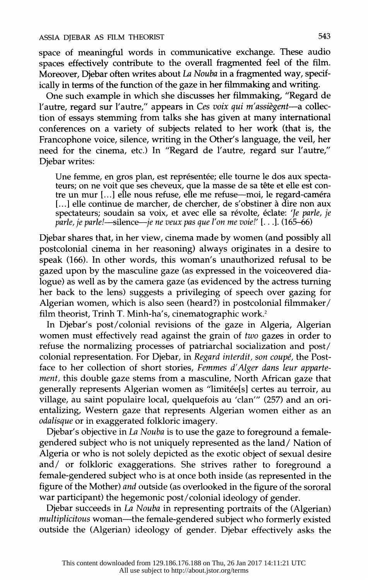space of meaningful words in communicative exchange. These audio spaces effectively contribute to the overall fragmented feel of the film. Moreover, Djebar often writes about I.a *Nouba* in a fragmented way, specifically in terms of the function of the gaze in her filmmaking and writing.

One such example in which she discusses her filmmaking, "Regard de l'autre, regard sur l'autre," appears in *Ces voix qui m'assiegent-a* collection of essays stemming from talks she has given at many international conferences on a variety of subjects related to her work (that is, the Francophone voice, silence, writing in the Other's language, the veil, her need for the cinema, etc.) In "Regard de l'autre, regard sur l'autre," Djebar writes:

Une femme, en gros plan, est représentée; elle tourne le dos aux spectateurs; on ne voit que ses cheveux, que la masse de sa tête et elle est contre un mur [...] elle nous refuse, elle me refuse—moi, le regard-caméra [...] elle continue de marcher, de chercher, de s'obstiner à dire non aux spectateurs; soudain sa voix, et avec elle sa révolte, éclate: 'Je parle, je *parle, je parle!-silence-je ne veux pas que l'on me voie!'* [ ... ]. (165-66)

Djebar shares that, in her view, cinema made by women (and possibly all postcolonial cinema in her reasoning) always originates in a desire to speak (166). In other words, this woman's unauthorized refusal to be gazed upon by the masculine gaze (as expressed in the voiceovered dialogue) as well as by the camera gaze (as evidenced by the actress turning her back to the lens) suggests a privileging of speech over gazing for Algerian women, which is also seen (heard?) in postcolonial filmmaker/ film theorist, Trinh T. Minh-ha's, cinematographic work.<sup>2</sup>

In Djebar's post/colonial revisions of the gaze in Algeria, Algerian women must effectively read against the grain of *two* gazes in order to refuse the normalizing processes of patriarchal socialization and post/ colonial representation. For Djebar, in *Regard interdit, son coupe,* the Postface to her collection of short stories, *Femmes d' Alger dans leur appartement,* this double gaze stems from a masculine, North African gaze that generally represents Algerian women as "limitee[s] certes au terroir, au village, au saint populaire local, quelquefois au 'clan"' (257) and an orientalizing, Western gaze that represents Algerian women either as an *odalisque* or in exaggerated folkloric imagery.

Djebar's objective in *La Nouba* is to use the gaze to foreground a femalegendered subject who is not uniquely represented as the land/ Nation of Algeria or who is not solely depicted as the exotic object of sexual desire and/ or folkloric exaggerations. She strives rather to foreground a female-gendered subject who is at once both inside (as represented in the figure of the Mother) *and* outside (as overlooked in the figure of the sororal war participant) the hegemonic post/ colonial ideology of gender.

Djebar succeeds in *La Nouba* in representing portraits of the (Algerian) *multiplicitous* woman-the female-gendered subject who formerly existed outside the (Algerian) ideology of gender. Djebar effectively asks the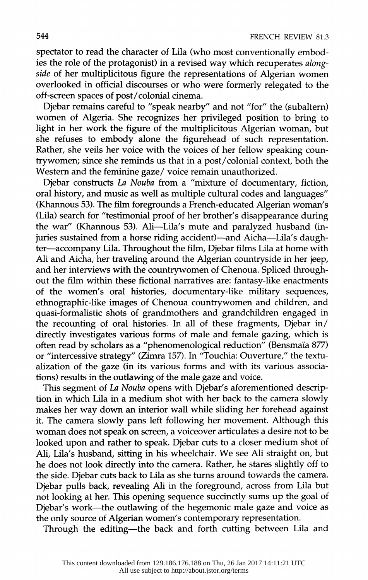spectator to read the character of Lila (who most conventionally embodies the role of the protagonist) in a revised way which recuperates *alongside* of her multiplicitous figure the representations of Algerian women overlooked in official discourses or who were formerly relegated to the off-screen spaces of post/ colonial cinema.

Djebar remains careful to "speak nearby" and not "for" the (subaltern) women of Algeria. She recognizes her privileged position to bring to light in her work the figure of the multiplicitous Algerian woman, but she refuses to embody alone the figurehead of such representation. Rather, she veils her voice with the voices of her fellow speaking countrywomen; since she reminds us that in a post/ colonial context, both the Western and the feminine gaze/ voice remain unauthorized.

Djebar constructs *La Nouba* from a "mixture of documentary, fiction, oral history, and music as well as multiple cultural codes and languages" (Khannous 53). The film foregrounds a French-educated Algerian woman's (Lila) search for "testimonial proof of her brother's disappearance during the war" (Khannous 53). Ali-Lila's mute and paralyzed husband (injuries sustained from a horse riding accident)—and Aicha—Lila's daughter-accompany Lila. Throughout the film, Djebar films Lila at home with Ali and Aicha, her traveling around the Algerian countryside in her jeep, and her interviews with the countrywomen of Chenoua. Spliced throughout the film within these fictional narratives are: fantasy-like enactments of the women's oral histories, documentary-like military sequences, ethnographic-like images of Chenoua countrywomen and children, and quasi-formalistic shots of grandmothers and grandchildren engaged in the recounting of oral histories. In all of these fragments, Djebar in/ directly investigates various forms of male and female gazing, which is often read by scholars as a "phenomenological reduction" (Bensmaïa 877) or "intercessive strategy" (Zimra 157). In 'Touchia: Ouverture," the textualization of the gaze (in its various forms and with its various associations) results in the outlawing of the male gaze and voice.

This segment of *La Nouba* opens with Djebar's aforementioned description in which Lila in a medium shot with her back to the camera slowly makes her way down an interior wall while sliding her forehead against it. The camera slowly pans left following her movement. Although this woman does not speak on screen, a voiceover articulates a desire not to be looked upon and rather to speak. Djebar cuts to a closer medium shot of Ali, Lila's husband, sitting in his wheelchair. We see Ali straight on, but he does not look directly into the camera. Rather, he stares slightly off to the side. Djebar cuts back to Lila as she turns around towards the camera. Djebar pulls back, revealing Ali in the foreground, across from Lila but not looking at her. This opening sequence succinctly sums up the goal of Djebar's work-the outlawing of the hegemonic male gaze and voice as the only source of Algerian women's contemporary representation.

Through the editing-the back and forth cutting between Lila and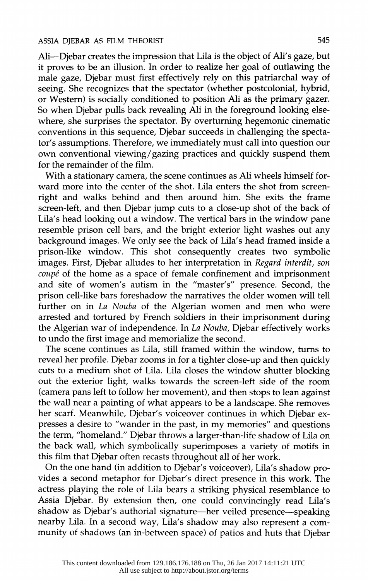Ali-Djebar creates the impression that Lila is the object of Ali's gaze, but it proves to be an illusion. In order to realize her goal of outlawing the male gaze, Djebar must first effectively rely on this patriarchal way of seeing. She recognizes that the spectator (whether postcolonial, hybrid, or Western) is socially conditioned to position Ali as the primary gazer. So when Djebar pulls back revealing Ali in the foreground looking elsewhere, she surprises the spectator. By overturning hegemonic cinematic conventions in this sequence, Djebar succeeds in challenging the spectator's assumptions. Therefore, we immediately must call into question our own conventional viewing/ gazing practices and quickly suspend them for the remainder of the film.

With a stationary camera, the scene continues as Ali wheels himself forward more into the center of the shot. Lila enters the shot from screenright and walks behind and then around him. She exits the frame screen-left, and then Djebar jump cuts to a close-up shot of the back of Lila's head looking out a window. The vertical bars in the window pane resemble prison cell bars, and the bright exterior light washes out any background images. We only see the back of Lila's head framed inside a prison-like window. This shot consequently creates two symbolic images. First, Djebar alludes to her interpretation in *Regard interdit, son coupe* of the home as a space of female confinement and imprisonment and site of women's autism in the "master's" presence. Second, the prison cell-like bars foreshadow the narratives the older women will tell further on in *La Nouba* of the Algerian women and men who were arrested and tortured by French soldiers in their imprisonment during the Algerian war of independence. In *La Nouba,* Djebar effectively works to undo the first image and memorialize the second.

The scene continues as Lila, still framed within the window, turns to reveal her profile. Djebar zooms in for a tighter close-up and then quickly cuts to a medium shot of Lila. Lila closes the window shutter blocking out the exterior light, walks towards the screen-left side of the room (camera pans left to follow her movement), and then stops to lean against the wall near a painting of what appears to be a landscape. She removes her scarf. Meanwhile, Djebar's voiceover continues in which Djebar expresses a desire to "wander in the past, in my memories" and questions the term, "homeland." Djebar throws a larger-than-life shadow of Lila on the back wall, which symbolically superimposes a variety of motifs in this film that Djebar often recasts throughout all of her work.

On the one hand (in addition to Djebar's voiceover), Lila's shadow provides a second metaphor for Djebar's direct presence in this work. The actress playing the role of Lila bears a striking physical resemblance to Assia Djebar. By extension then, one could convincingly read Lila's shadow as Djebar's authorial signature-her veiled presence-speaking nearby Lila. In a second way, Lila's shadow may also represent a community of shadows (an in-between space) of patios and huts that Djebar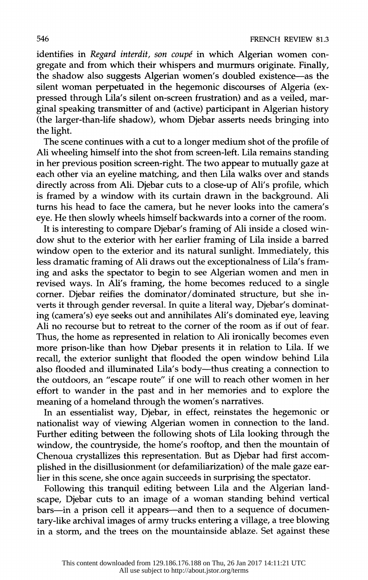identifies in *Regard interdit, son coupe* in which Algerian women congregate and from which their whispers and murmurs originate. Finally, the shadow also suggests Algerian women's doubled existence-as the silent woman perpetuated in the hegemonic discourses of Algeria (expressed through Lila's silent on-screen frustration) and as a veiled, marginal speaking transmitter of and (active) participant in Algerian history (the larger-than-life shadow), whom Djebar asserts needs bringing into the light.

The scene continues with a cut to a longer medium shot of the profile of Ali wheeling himself into the shot from screen-left. Lila remains standing in her previous position screen-right. The two appear to mutually gaze at each other via an eyeline matching, and then Lila walks over and stands directly across from Ali. Djebar cuts to a close-up of Ali's profile, which is framed by a window with its curtain drawn in the background. Ali turns his head to face the camera, but he never looks into the camera's eye. He then slowly wheels himself backwards into a corner of the room.

It is interesting to compare Djebar's framing of Ali inside a closed window shut to the exterior with her earlier framing of Lila inside a barred window open to the exterior and its natural sunlight. Immediately, this less dramatic framing of Ali draws out the exceptionalness of Lila's framing and asks the spectator to begin to see Algerian women and men in revised ways. In Ali's framing, the home becomes reduced to a single corner. Djebar reifies the dominator/dominated structure, but she inverts it through gender reversal. In quite a literal way, Djebar's dominating (camera's) eye seeks out and annihilates Ali's dominated eye, leaving Ali no recourse but to retreat to the corner of the room as if out of fear. Thus, the home as represented in relation to Ali ironically becomes even more prison-like than how Djebar presents it in relation to Lila. If we recall, the exterior sunlight that flooded the open window behind Lila also flooded and illuminated Lila's body—thus creating a connection to the outdoors, an "escape route" if one will to reach other women in her effort to wander in the past and in her memories and to explore the meaning of a homeland through the women's narratives.

In an essentialist way, Djebar, in effect, reinstates the hegemonic or nationalist way of viewing Algerian women in connection to the land. Further editing between the following shots of Lila looking through the window, the countryside, the home's rooftop, and then the mountain of Chenoua crystallizes this representation. But as Djebar had first accomplished in the disillusionment (or defamiliarization) of the male gaze earlier in this scene, she once again succeeds in surprising the spectator.

Following this tranquil editing between Lila and the Algerian landscape, Djebar cuts to an image of a woman standing behind vertical bars-in a prison cell it appears-and then to a sequence of documentary-like archival images of army trucks entering a village, a tree blowing in a storm, and the trees on the mountainside ablaze. Set against these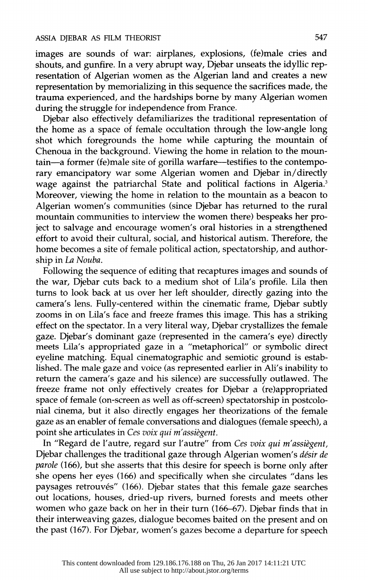images are sounds of war: airplanes, explosions, (fe)male cries and shouts, and gunfire. In a very abrupt way, Djebar unseats the idyllic representation of Algerian women as the Algerian land and creates a new representation by memorializing in this sequence the sacrifices made, the trauma experienced, and the hardships borne by many Algerian women during the struggle for independence from France.

Djebar also effectively defamiliarizes the traditional representation of the home as a space of female occultation through the low-angle long shot which foregrounds the home while capturing the mountain of Chenoua in the background. Viewing the home in relation to the mountain-a former (fe)male site of gorilla warfare-testifies to the contemporary emancipatory war some Algerian women and Djebar in/ directly wage against the patriarchal State and political factions in Algeria.<sup>3</sup> Moreover, viewing the home in relation to the mountain as a beacon to Algerian women's communities (since Djebar has returned to the rural mountain communities to interview the women there) bespeaks her project to salvage and encourage women's oral histories in a strengthened effort to avoid their cultural, social, and historical autism. Therefore, the home becomes a site of female political action, spectatorship, and authorship in *La Nouba.* 

Following the sequence of editing that recaptures images and sounds of the war, Djebar cuts back to a medium shot of Lila's profile. Lila then turns to look back at us over her left shoulder, directly gazing into the camera's lens. Fully-centered within the cinematic frame, Djebar subtly zooms in on Lila's face and freeze frames this image. This has a striking effect on the spectator. In a very literal way, Djebar crystallizes the female gaze. Djebar's dominant gaze (represented in the camera's eye) directly meets Lila's appropriated gaze in a "metaphorical" or symbolic direct eyeline matching. Equal cinematographic and semiotic ground is established. The male gaze and voice (as represented earlier in Ali's inability to return the camera's gaze and his silence) are successfully outlawed. The freeze frame not only effectively creates for Djebar a (re)appropriated space of female (on-screen as well as off-screen) spectatorship in postcolonial cinema, but it also directly engages her theorizations of the female gaze as an enabler of female conversations and dialogues (female speech), a point she articulates in *Ces voix qui m'assiegent.* 

In "Regard de l'autre, regard sur l'autre" from *Ces voix qui m'assiegent,*  Djebar challenges the traditional gaze through Algerian women's *desir de parole* (166), but she asserts that this desire for speech is borne only after she opens her eyes (166) and specifically when she circulates "dans les paysages retrouvés" (166). Djebar states that this female gaze searches out locations, houses, dried-up rivers, burned forests and meets other women who gaze back on her in their turn (166-67). Djebar finds that in their interweaving gazes, dialogue becomes baited on the present and on the past (167). For Djebar, women's gazes become a departure for speech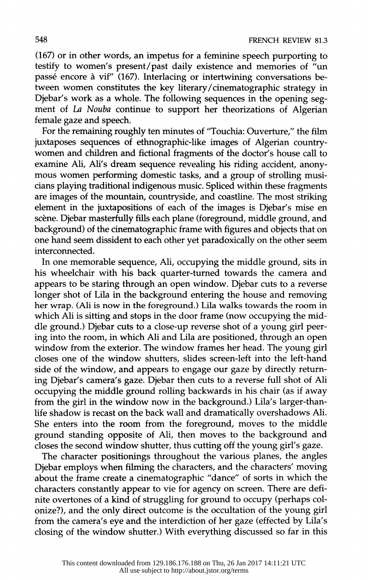(167) or in other words, an impetus for a feminine speech purporting to testify to women's present/past daily existence and memories of "un passé encore à vif" (167). Interlacing or intertwining conversations between women constitutes the key literary/cinematographic strategy in Djebar's work as a whole. The following sequences in the opening segment of *La Nouba* continue to support her theorizations of Algerian female gaze and speech.

For the remaining roughly ten minutes of "Touchia: Ouverture," the film juxtaposes sequences of ethnographic-like images of Algerian countrywomen and children and fictional fragments of the doctor's house call to examine Ali, Ali's dream sequence revealing his riding accident, anonymous women performing domestic tasks, and a group of strolling musicians playing traditional indigenous music. Spliced within these fragments are images of the mountain, countryside, and coastline. The most striking element in the juxtapositions of each of the images is Djebar's mise en scène. Djebar masterfully fills each plane (foreground, middle ground, and background) of the cinematographic frame with figures and objects that on one hand seem dissident to each other yet paradoxically on the other seem interconnected.

In one memorable sequence, Ali, occupying the middle ground, sits in his wheelchair with his back quarter-turned towards the camera and appears to be staring through an open window. Djebar cuts to a reverse longer shot of Lila in the background entering the house and removing her wrap. (Ali is now in the foreground.) Lila walks towards the room in which Ali is sitting and stops in the door frame (now occupying the middle ground.) Djebar cuts to a close-up reverse shot of a young girl peering into the room, in which Ali and Lila are positioned, through an open window from the exterior. The window frames her head. The young girl closes one of the window shutters, slides screen-left into the left-hand side of the window, and appears to engage our gaze by directly returning Djebar's camera's gaze. Djebar then cuts to a reverse full shot of Ali occupying the middle ground rolling backwards in his chair (as if away from the girl in the window now in the background.) Lila's larger-thanlife shadow is recast on the back wall and dramatically overshadows Ali. She enters into the room from the foreground, moves to the middle ground standing opposite of Ali, then moves to the background and closes the second window shutter, thus cutting off the young girl's gaze.

The character positionings throughout the various planes, the angles Djebar employs when filming the characters, and the characters' moving about the frame create a cinematographic "dance" of sorts in which the characters constantly appear to vie for agency on screen. There are definite overtones of a kind of struggling for ground to occupy (perhaps colonize?), and the only direct outcome is the occultation of the young girl from the camera's eye and the interdiction of her gaze (effected by Lila's closing of the window shutter.) With everything discussed so far in this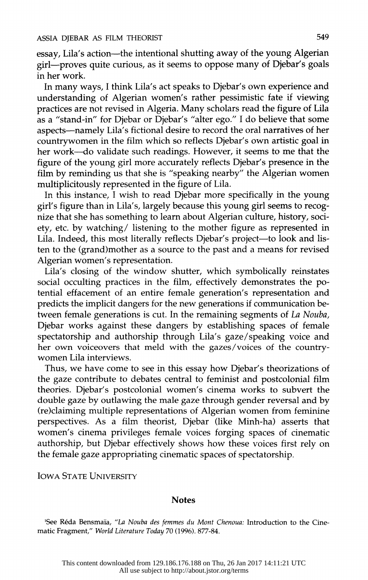essay, Lila's action-the intentional shutting away of the young Algerian girl-proves quite curious, as it seems to oppose many of Djebar's goals in her work.

In many ways, I think Lila's act speaks to Djebar's own experience and understanding of Algerian women's rather pessimistic fate if viewing practices are not revised in Algeria. Many scholars read the figure of Lila as a "stand-in" for Djebar or Djebar's "alter ego." I do believe that some aspects-namely Lila's fictional desire to record the oral narratives of her countrywomen in the film which so reflects Djebar's own artistic goal in her work-do validate such readings. However, it seems to me that the figure of the young girl more accurately reflects Djebar's presence in the film by reminding us that she is "speaking nearby" the Algerian women multiplicitously represented in the figure of Lila.

In this instance, I wish to read Djebar more specifically in the young girl's figure than in Lila's, largely because this young girl seems to recognize that she has something to learn about Algerian culture, history, society, etc. by watching/ listening to the mother figure as represented in Lila. Indeed, this most literally reflects Djebar's project-to look and listen to the (grand)mother as a source to the past and a means for revised Algerian women's representation.

Lila's closing of the window shutter, which symbolically reinstates social occulting practices in the film, effectively demonstrates the potential effacement of an entire female generation's representation and predicts the implicit dangers for the new generations if communication between female generations is cut. In the remaining segments of *La Nouba,*  Djebar works against these dangers by establishing spaces of female spectatorship and authorship through Lila's gaze/speaking voice and her own voiceovers that meld with the gazes/voices of the countrywomen Lila interviews.

Thus, we have come to see in this essay how Djebar's theorizations of the gaze contribute to debates central to feminist and postcolonial film theories. Djebar's postcolonial women's cinema works to subvert the double gaze by outlawing the male gaze through gender reversal and by (re)claiming multiple representations of Algerian women from feminine perspectives. As a film theorist, Djebar (like Minh-ha) asserts that women's cinema privileges female voices forging spaces of cinematic authorship, but Djebar effectively shows how these voices first rely on the female gaze appropriating cinematic spaces of spectatorship.

IOWA STATE UNIVERSITY

## **Notes**

<sup>1</sup>See Réda Bensmaïa, "La Nouba des femmes du Mont Chenoua: Introduction to the Cinematic Fragment," *World Literature Today* 70 (1996). 877-84.